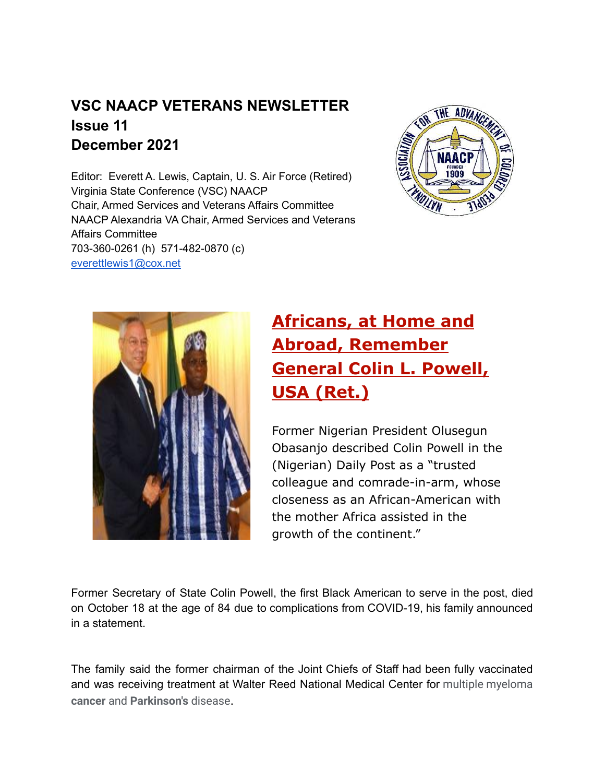### **VSC NAACP VETERANS NEWSLETTER Issue 11 December 2021**

Editor: Everett A. Lewis, Captain, U. S. Air Force (Retired) Virginia State Conference (VSC) NAACP Chair, Armed Services and Veterans Affairs Committee NAACP Alexandria VA Chair, Armed Services and Veterans Affairs Committee 703-360-0261 (h) 571-482-0870 (c) [everettlewis1@cox.net](mailto:everettlewis1@cox.net)





# **[Africans, at Home and](https://r20.rs6.net/tn.jsp?f=0018rJGTBcPNFxG6PJv58wZDkrfZb4e52SmDm2824Ox4ILHY9loBq4Zhq69YQZVN268FKqVyfrskYjCbKUUav4vaOKX2k5kOG9NW_JMM2a85vMsi-FHX40bSdM68tu8vg_vP8zOMPL_f3zbf8bWuvRQGGnusV3oFIluUyhA8Alo_mgcp749ZBD7VsM_n6rLhWHOFG8kcEfVN28=&c=zcHz2ztFrUMNDQ6MnjdQbmEmr-v3KFybOyFaUgMpFLvgOqPCJ4Aeqg==&ch=sQLdD2i2l4K5KDxKx6_bdmqajnKClS-o0ecaNF_psttAvCWtSlb07w==) [Abroad, Remember](https://r20.rs6.net/tn.jsp?f=0018rJGTBcPNFxG6PJv58wZDkrfZb4e52SmDm2824Ox4ILHY9loBq4Zhq69YQZVN268FKqVyfrskYjCbKUUav4vaOKX2k5kOG9NW_JMM2a85vMsi-FHX40bSdM68tu8vg_vP8zOMPL_f3zbf8bWuvRQGGnusV3oFIluUyhA8Alo_mgcp749ZBD7VsM_n6rLhWHOFG8kcEfVN28=&c=zcHz2ztFrUMNDQ6MnjdQbmEmr-v3KFybOyFaUgMpFLvgOqPCJ4Aeqg==&ch=sQLdD2i2l4K5KDxKx6_bdmqajnKClS-o0ecaNF_psttAvCWtSlb07w==) [General Colin L. Powell,](https://r20.rs6.net/tn.jsp?f=0018rJGTBcPNFxG6PJv58wZDkrfZb4e52SmDm2824Ox4ILHY9loBq4Zhq69YQZVN268FKqVyfrskYjCbKUUav4vaOKX2k5kOG9NW_JMM2a85vMsi-FHX40bSdM68tu8vg_vP8zOMPL_f3zbf8bWuvRQGGnusV3oFIluUyhA8Alo_mgcp749ZBD7VsM_n6rLhWHOFG8kcEfVN28=&c=zcHz2ztFrUMNDQ6MnjdQbmEmr-v3KFybOyFaUgMpFLvgOqPCJ4Aeqg==&ch=sQLdD2i2l4K5KDxKx6_bdmqajnKClS-o0ecaNF_psttAvCWtSlb07w==) USA (Ret.)**

Former Nigerian President Olusegun Obasanjo described Colin Powell in the (Nigerian) Daily Post as a "trusted colleague and comrade-in-arm, whose closeness as an African-American with the mother Africa assisted in the growth of the continent."

Former Secretary of State Colin Powell, the first Black American to serve in the post, died on October 18 at the age of 84 due to complications from COVID-19, his family announced in a statement.

The family said the former chairman of the Joint Chiefs of Staff had been fully vaccinated and was receiving treatment at Walter Reed National Medical Center for multiple myeloma **cancer** and **Parkinson's** disease.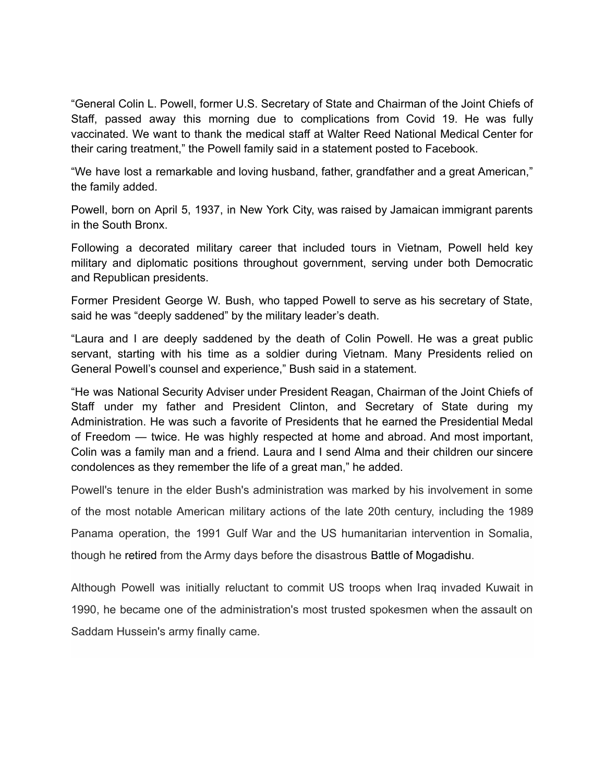"General Colin L. Powell, former U.S. Secretary of State and Chairman of the Joint Chiefs of Staff, passed away this morning due to complications from Covid 19. He was fully vaccinated. We want to thank the medical staff at Walter Reed National Medical Center for their caring treatment," the Powell family said in a statement posted to Facebook.

"We have lost a remarkable and loving husband, father, grandfather and a great American," the family added.

Powell, born on April 5, 1937, in New York City, was raised by Jamaican immigrant parents in the South Bronx.

Following a decorated military career that included tours in Vietnam, Powell held key military and diplomatic positions throughout government, serving under both Democratic and Republican presidents.

Former President George W. Bush, who tapped Powell to serve as his secretary of State, said he was "deeply saddened" by the military leader's death.

"Laura and I are deeply saddened by the death of Colin Powell. He was a great public servant, starting with his time as a soldier during Vietnam. Many Presidents relied on General Powell's counsel and experience," Bush said in a statement.

"He was National Security Adviser under President Reagan, Chairman of the Joint Chiefs of Staff under my father and President Clinton, and Secretary of State during my Administration. He was such a favorite of Presidents that he earned the Presidential Medal of Freedom — twice. He was highly respected at home and abroad. And most important, Colin was a family man and a friend. Laura and I send Alma and their children our sincere condolences as they remember the life of a great man," he added.

Powell's tenure in the elder Bush's administration was marked by his involvement in some of the most notable American military actions of the late 20th century, including the 1989 Panama operation, the 1991 Gulf War and the US humanitarian intervention in Somalia, though he [retired](https://www.nytimes.com/1993/10/01/us/colin-powell-who-led-us-military-into-a-new-era-resigns.html) from the Army days before the disastrous [Battle of Mogadishu](https://www.nytimes.com/1995/10/01/world/study-faults-powell-aides-on-somalia.html).

Although Powell was initially reluctant to commit US troops when Iraq invaded Kuwait in 1990, he became one of the administration's most trusted spokesmen when the assault on Saddam Hussein's army finally came.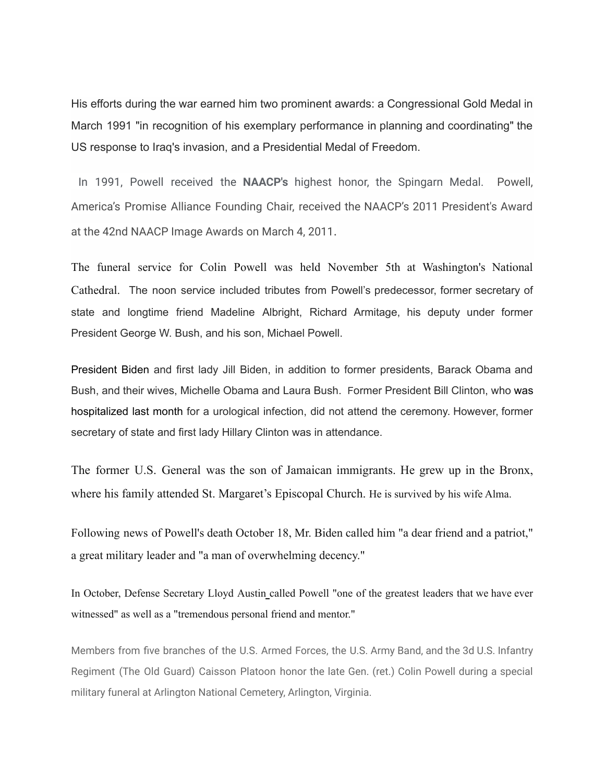His efforts during the war earned him two prominent awards: a Congressional Gold Medal in March 1991 "in recognition of his exemplary performance in planning and coordinating" the US response to Iraq's invasion, and a Presidential Medal of Freedom.

In 1991, Powell received the **NAACP's** highest honor, the Spingarn Medal. Powell, America's Promise Alliance Founding Chair, received the NAACP's 2011 President's Award at the 42nd NAACP Image Awards on March 4, 2011.

The funeral service for [Colin Powell](https://www.cbsnews.com/news/colin-powell-dies-age-84-covid-19-first-black-secretary-of-state/) was held November 5th at Washington's National Cathedral. The noon service included tributes from Powell's predecessor, former secretary of state and longtime friend Madeline Albright, Richard Armitage, his deputy under former President George W. Bush, and his son, Michael Powell.

[President Biden](https://nypost.com/2021/10/18/one-of-our-great-americans-biden-reacts-to-colin-powells-death/) and first lady Jill Biden, in addition to former presidents, Barack Obama and Bush, and their wives, Michelle Obama and Laura Bush. Former President Bill Clinton, who [was](https://nypost.com/2021/10/20/bill-clinton-doing-great-at-home-after-urological-infection/) [hospitalized last month](https://nypost.com/2021/10/20/bill-clinton-doing-great-at-home-after-urological-infection/) for a urological infection, did not attend the ceremony. However, former secretary of state and first lady Hillary Clinton was in attendance.

The former U.S. General was the son of Jamaican immigrants. He grew up in the Bronx, where his family attended St. Margaret's Episcopal Church. He is survived by his wife Alma.

Following news of Powell's death October 18, Mr. Biden called him "a dear friend and a patriot," a great military leader and "a man of overwhelming decency."

In October, Defense Secretary [Lloyd Austin](https://www.cbsnews.com/news/us-military-racism-60-minutes-2021-08-22/) called Powell "one of the greatest leaders that we have ever witnessed" as well as a "tremendous personal friend and mentor."

Members from five branches of the U.S. Armed Forces, the U.S. Army Band, and the 3d U.S. Infantry Regiment (The Old Guard) Caisson Platoon honor the late Gen. (ret.) Colin Powell during a special military funeral at Arlington National Cemetery, Arlington, Virginia.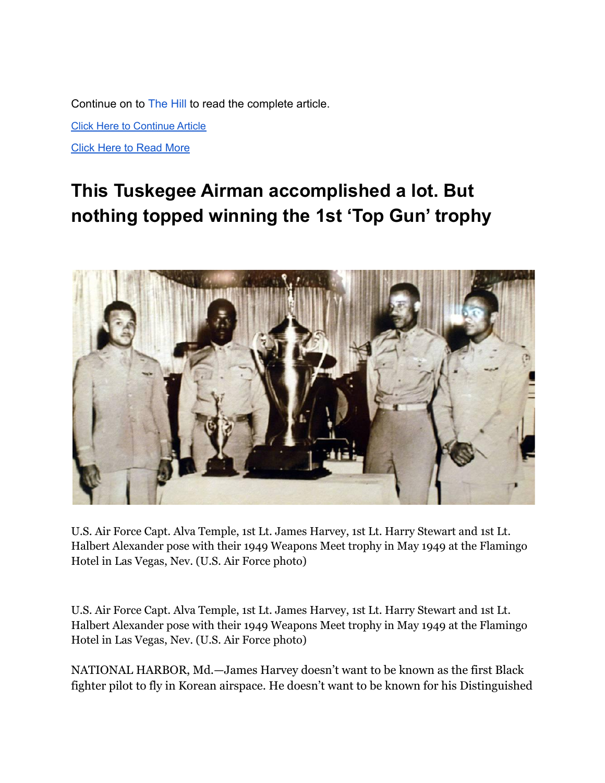Continue on to [The Hill](https://thehill.com/policy/defense/577152-colin-powell-dies-at-age-of-84?fbclid=IwAR1roneusFkVbhyX144RMBoAfyygh1NsvAqPBzwJ9ZzkLJEhOEiWZxTUyig) to read the complete article.

[Click Here to Continue Article](https://thehill.com/policy/defense/577152-colin-powell-dies-at-age-of-84?fbclid=IwAR1roneusFkVbhyX144RMBoAfyygh1NsvAqPBzwJ9ZzkLJEhOEiWZxTUyig)

[Click Here to Read More](https://portofharlem.net/snippets21/nov032021-colin-powell.html)

# **This Tuskegee Airman accomplished a lot. But nothing topped winning the 1st 'Top Gun' trophy**



U.S. Air Force Capt. Alva Temple, 1st Lt. James Harvey, 1st Lt. Harry Stewart and 1st Lt. Halbert Alexander pose with their 1949 Weapons Meet trophy in May 1949 at the Flamingo Hotel in Las Vegas, Nev. (U.S. Air Force photo)

U.S. Air Force Capt. Alva Temple, 1st Lt. James Harvey, 1st Lt. Harry Stewart and 1st Lt. Halbert Alexander pose with their 1949 Weapons Meet trophy in May 1949 at the Flamingo Hotel in Las Vegas, Nev. (U.S. Air Force photo)

NATIONAL HARBOR, Md.—James Harvey doesn't want to be known as the first Black fighter pilot to fly in Korean airspace. He doesn't want to be known for his Distinguished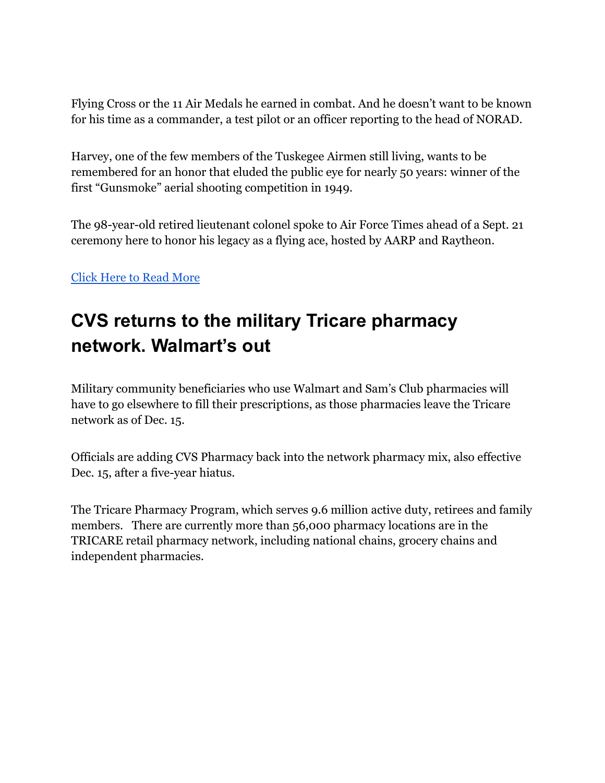Flying Cross or the 11 Air Medals he earned in combat. And he doesn't want to be known for his time as a commander, a test pilot or an officer reporting to the head of NORAD.

Harvey, one of the few members of the Tuskegee Airmen still living, wants to be remembered for an honor that eluded the public eye for nearly 50 years: winner of the first "Gunsmoke" aerial shooting competition in 1949.

The 98-year-old retired lieutenant colonel spoke to Air Force Times ahead of a Sept. 21 ceremony here to honor his legacy as a flying ace, hosted by AARP and Raytheon.

### [Click Here to Read More](https://www.airforcetimes.com/news/your-air-force/2021/09/29/this-tuskegee-airman-accomplished-a-lot-but-nothing-topped-winning-the-1st-top-gun-trophy/?utm_source=Sailthru&utm_medium=email&utm_campaign=Air%20Force%20DNR:%20Recurring%20Campaign%202021%202021-09-30&utm_term=Editorial%20-%20Air%20Force%20-%20Daily%20News%20Roundup)

# **CVS returns to the military Tricare pharmacy network. Walmart's out**

Military community beneficiaries who use Walmart and Sam's Club pharmacies will have to go elsewhere to fill their prescriptions, as those [pharmacies](https://www.militarytimes.com/pay-benefits/mil-money/2021/10/01/pharmacy-costs-increasing-jan-1-for-active-duty-families-retirees-and-others/) leave the Tricare network as of Dec. 15.

Officials are adding CVS Pharmacy back into the network pharmacy mix, also effective Dec. 15, after a [five-year hiatus.](https://www.militarytimes.com/pay-benefits/military-benefits/2016/09/30/cvs-is-out-and-walgreens-is-in-for-tricare-pharmacy-network/)

The Tricare Pharmacy Program, which serves 9.6 million active duty, retirees and family members. There are currently more than 56,000 pharmacy locations are in the TRICARE retail pharmacy network, including national chains, grocery chains and independent pharmacies.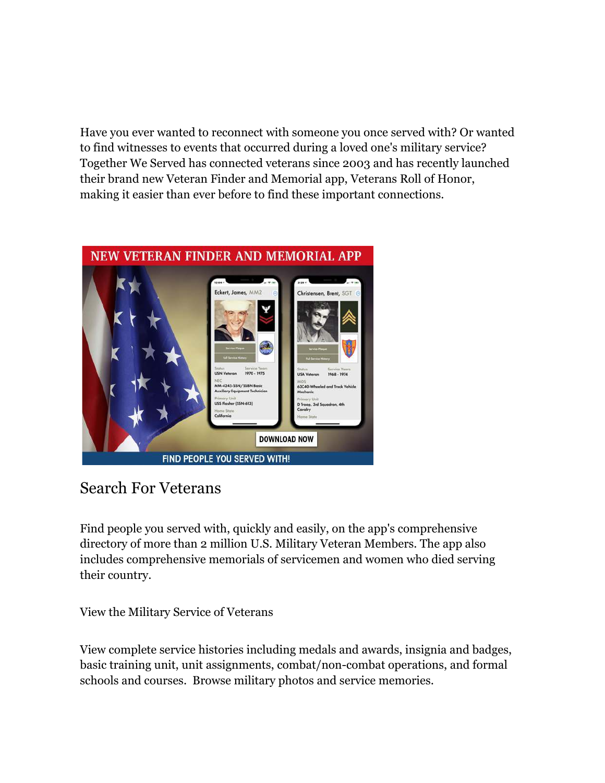Have you ever wanted to reconnect with someone you once served with? Or wanted to find witnesses to events that occurred during a loved one's military service? Together We Served has connected veterans since 2003 and has recently launched their brand new Veteran Finder and Memorial app, Veterans Roll of Honor, making it easier than ever before to find these important connections.



## Search For Veterans

Find people you served with, quickly and easily, on the app's comprehensive directory of more than 2 million U.S. Military Veteran Members. The app also includes comprehensive memorials of servicemen and women who died serving their country.

View the Military Service of Veterans

View complete service histories including medals and awards, insignia and badges, basic training unit, unit assignments, combat/non-combat operations, and formal schools and courses. Browse military photos and service memories.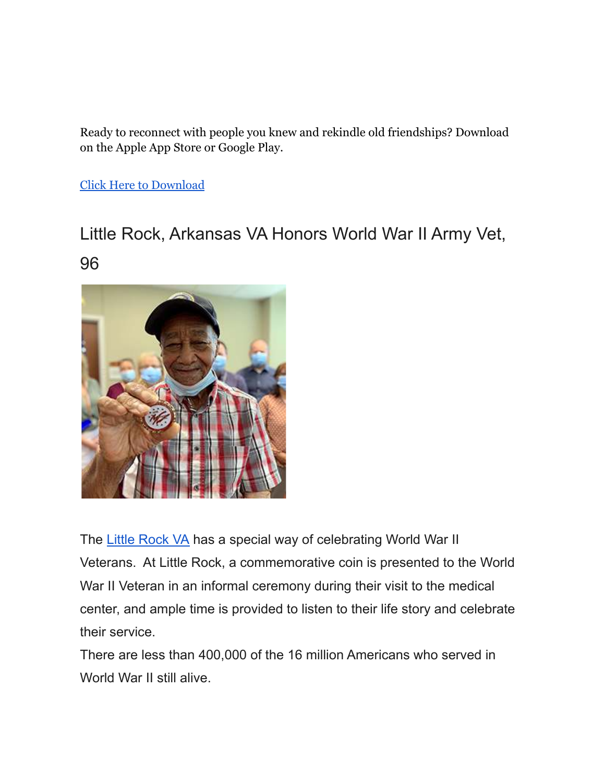Ready to reconnect with people you knew and rekindle old friendships? Download on the Apple App Store or Google Play.

[Click Here to Download](https://play.google.com/store/apps/details?id=com.togetherweserved.roh&utm_source=Stars+and+Stripes+Emails&utm_campaign=71838de15d-TWS+Vet+Honor+Roll+App&utm_medium=email&utm_term=0_0ab8697a7f-71838de15d-296243673)

# Little Rock, Arkansas VA Honors World War II Army Vet, 96



The [Little Rock VA](https://www.va.gov/central-arkansas-health-care/) has a special way of celebrating World War II Veterans. At Little Rock, a commemorative coin is presented to the World War II Veteran in an informal ceremony during their visit to the medical center, and ample time is provided to listen to their life story and celebrate their service.

There are less than 400,000 of the 16 million Americans who served in World War II still alive.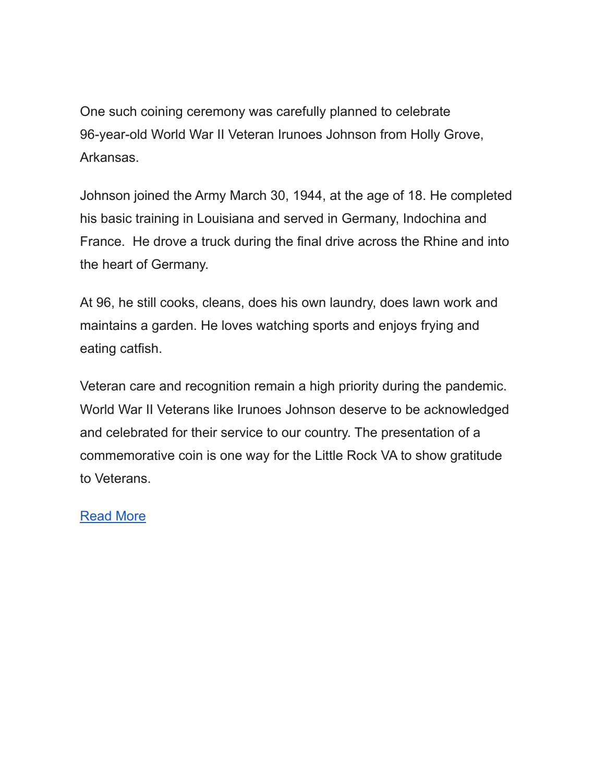One such coining ceremony was carefully planned to celebrate 96-year-old World War II Veteran Irunoes Johnson from Holly Grove, Arkansas.

Johnson joined the Army March 30, 1944, at the age of 18. He completed his basic training in Louisiana and served in Germany, Indochina and France. He drove a truck during the final drive across the Rhine and into the heart of Germany.

At 96, he still cooks, cleans, does his own laundry, does lawn work and maintains a garden. He loves watching sports and enjoys frying and eating catfish.

Veteran care and recognition remain a high priority during the pandemic. World War II Veterans like Irunoes Johnson deserve to be acknowledged and celebrated for their service to our country. The presentation of a commemorative coin is one way for the Little Rock VA to show gratitude to Veterans.

### [Read More](https://blogs.va.gov/VAntage/95254/little-rock-va-honors-world-war-ii-army-veteran-96/)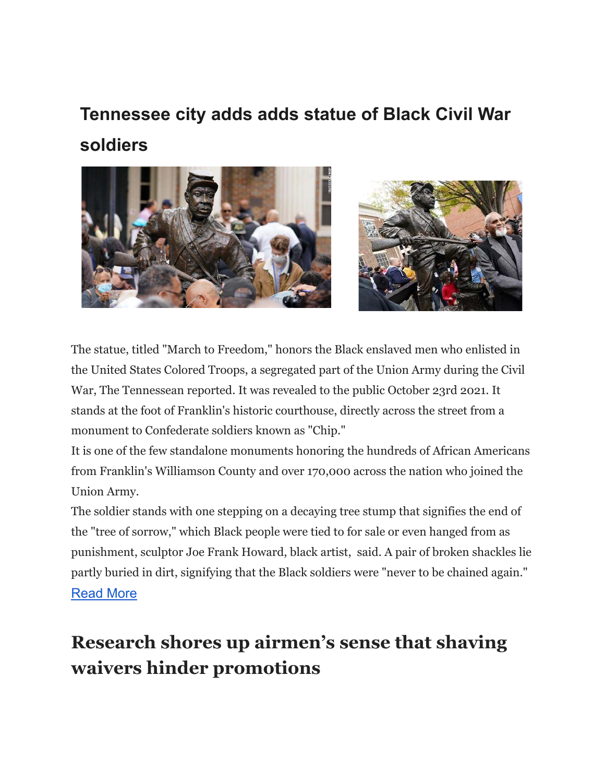# **Tennessee city adds adds statue of Black Civil War soldiers**



The statue, titled "March to Freedom," honors the Black enslaved men who enlisted in the United States Colored Troops, a segregated part of the Union Army during the Civil War, The Tennessean reported. It was revealed to the public October 23rd 2021. It stands at the foot of Franklin's historic courthouse, directly across the street from a monument to Confederate soldiers known as "Chip."

It is one of the few standalone monuments honoring the hundreds of African Americans from Franklin's Williamson County and over 170,000 across the nation who joined the Union Army.

The soldier stands with one stepping on a decaying tree stump that signifies the end of the "tree of sorrow," which Black people were tied to for sale or even hanged from as punishment, sculptor Joe Frank Howard, black artist, said. A pair of broken shackles lie partly buried in dirt, signifying that the Black soldiers were "never to be chained again."

### [Read More](https://www.stripes.com/theaters/us/2021-10-24/tennessee-city-statue-black-civil-war-soldiers-3357542.html?utm_source=Stars+and+Stripes+Emails&utm_campaign=Daily+Headlines&utm_medium=email&utm_source=Stars+and+Stripes+Emails&utm_campaign=834d290072-Newsletter+-+Daily+Headlines&utm_medium=email&utm_term=0_0ab8697a7f-834d290072-296243673)

# **Research shores up airmen's sense that shaving waivers hinder promotions**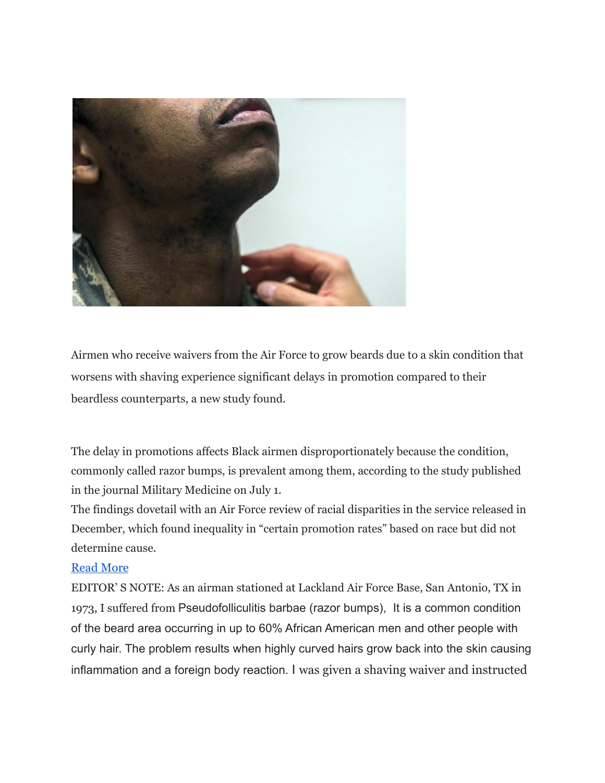

Airmen who receive waivers from the Air Force to grow beards due to a skin condition that worsens with shaving experience significant delays in promotion compared to their beardless counterparts, a new study found.

The delay in promotions affects Black airmen disproportionately because the condition, commonly called razor bumps, is prevalent among them, according to the study published in the journal Military Medicine on July 1.

The findings dovetail with an Air Force review of racial disparities in the service released in December, which found inequality in "certain promotion rates" based on race but did not determine cause.

#### [Read More](https://www.stripes.com/branches/air_force/2021-07-15/air-force-shaving-waiver-beards-black-airmen-2163337.html?utm_source=Stars+and+Stripes+Emails&utm_campaign=Daily+Headlines&utm_medium=email#)

EDITOR' S NOTE: As an airman stationed at Lackland Air Force Base, San Antonio, TX in 1973, I suffered from Pseudofolliculitis barbae (razor bumps), It is a common condition of the beard area occurring in up to 60% African American men and other people with curly hair. The problem results when highly curved hairs grow back into the skin causing inflammation and a foreign body reaction. I was given a shaving waiver and instructed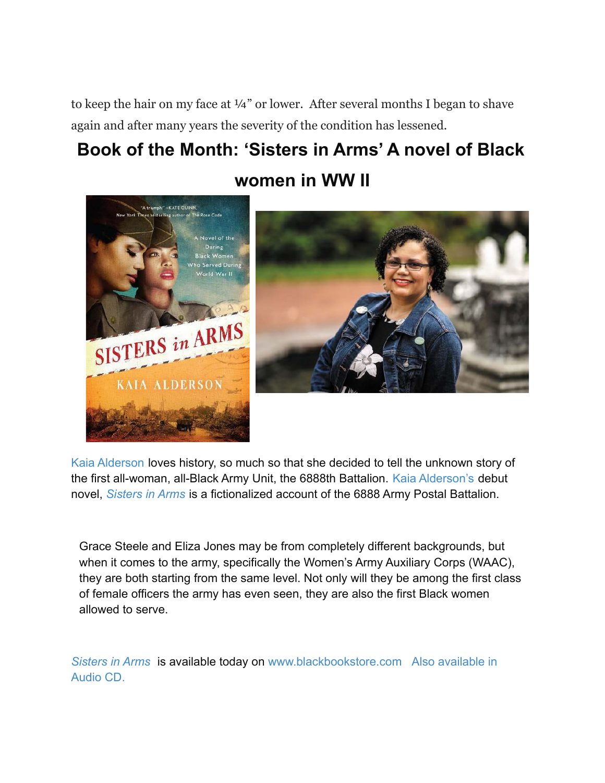to keep the hair on my face at  $\frac{1}{4}$ " or lower. After several months I began to shave again and after many years the severity of the condition has lessened.

# **Book of the Month: 'Sisters in Arms' A novel of Black women in WW II**





[Kaia Alderson](https://rollingout.com/2021/09/18/kaia-alderson-celebrates-the-1st-all-female-all-black-us-army-unit-during-wwii/) loves history, so much so that she decided to tell the unknown story of the first all-woman, all-Black Army Unit, the 6888th Battalion. [Kaia Alderson's](https://rollingout.com/2021/09/19/live-rolling-out-meet-the-author-kaia-alderman-sisters-in-arms/) debut novel, *[Sisters in Arms](https://blackbookstore.com/products/sisters-in-arms-a-novel-of-the-daring-black-women-who-served-during-world-war-ii-9780062964588?_pos=1&_sid=411303e53&_ss=r)* is a fictionalized account of the 6888 Army Postal Battalion.

Grace Steele and Eliza Jones may be from completely different backgrounds, but when it comes to the army, specifically the Women's Army Auxiliary Corps (WAAC), they are both starting from the same level. Not only will they be among the first class of female officers the army has even seen, they are also the first Black women allowed to serve.

*[Sisters in Arms](https://blackbookstore.com/products/sisters-in-arms-a-novel-of-the-daring-black-women-who-served-during-world-war-ii-9780062964588?_pos=1&_sid=411303e53&_ss=r)* is available today on [www.blackbookstore.com Also available in](http://www.blackbookstore.com/) [Audio CD.](http://www.blackbookstore.com/)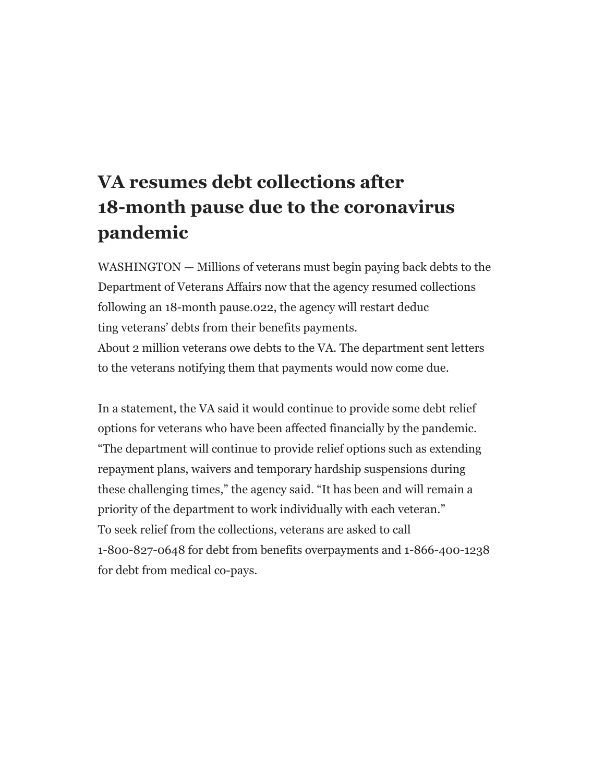# **VA resumes debt collections after 18-month pause due to the coronavirus pandemic**

WASHINGTON — Millions of veterans must begin paying back debts to the Department of Veterans Affairs now that the agency resumed collections following an 18-month pause.022, the agency will restart deduc ting veterans' debts from their benefits payments.

About 2 million veterans owe debts to the VA. The department sent letters to the veterans notifying them that payments would now come due.

In a statement, the VA said it would continue to provide some debt relief options for veterans who have been affected financially by the pandemic. "The department will continue to provide relief options such as extending repayment plans, waivers and temporary hardship suspensions during these challenging times," the agency said. "It has been and will remain a priority of the department to work individually with each veteran." To seek relief from the collections, veterans are asked to call 1-800-827-0648 for debt from benefits overpayments and 1-866-400-1238 for debt from medical co-pays.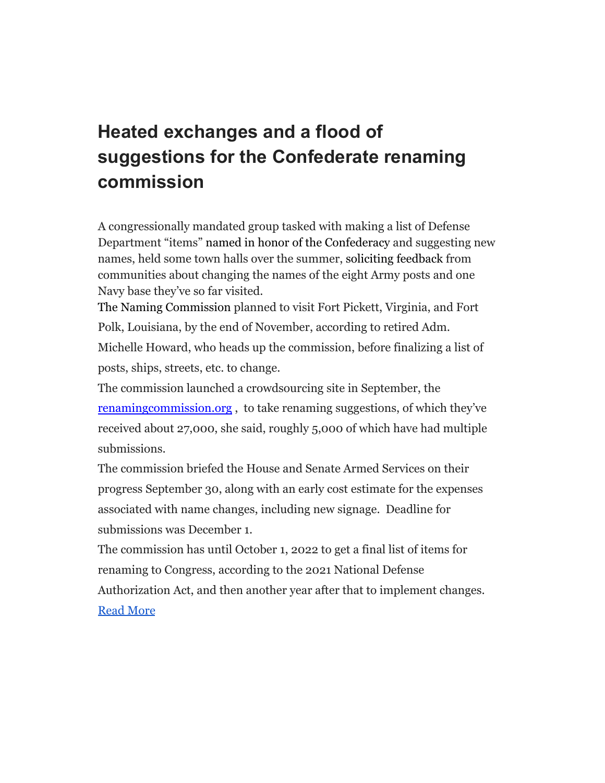# **Heated exchanges and a flood of suggestions for the Confederate renaming commission**

A congressionally mandated group tasked with making a list of Defense Department "items" [named in honor of the Confederacy](https://www.militarytimes.com/news/your-military/2021/05/21/fort-belvoir-cruiser-antietam-under-consideration-for-renaming-by-dod-commission/) and suggesting new names, held some town halls over the summer, [soliciting feedback](https://www.militarytimes.com/news/pentagon-congress/2021/09/07/heres-your-chance-to-help-rename-army-posts-and-navy-ships-honoring-the-confederacy/) from communities about changing the names of the eight Army posts and one Navy base they've so far visited.

[The Naming Commission](https://www.militarytimes.com/news/pentagon-congress/2021/02/12/panelists-selected-now-work-on-renaming-military-sites-honoring-confederate-leaders-will-begin/) planned to visit Fort Pickett, Virginia, and Fort Polk, Louisiana, by the end of November, according to retired Adm. Michelle Howard, who heads up the commission, before finalizing a list of

posts, ships, streets, etc. to change.

The commission launched a crowdsourcing site in September, the renamingcommission.org , to take renaming suggestions, of which they've received about 27,000, she said, roughly 5,000 of which have had multiple submissions.

The commission briefed the House and Senate Armed Services on their progress September 30, along with an early cost estimate for the expenses associated with name changes, including new signage. Deadline for submissions was December 1.

The commission has until October 1, 2022 to get a final list of items for renaming to Congress, according to the 2021 National Defense Authorization Act, and then another year after that to implement changes. [Read More](https://www.militarytimes.com/news/pentagon-congress/2021/10/04/heated-exchanges-and-a-flood-of-suggestions-for-the-confederate-renaming-commission/?utm_source=Sailthru&utm_medium=email&utm_campaign=Air%20Force%20DNR:%20Recurring%20Campaign%202021%202021-10-04&utm_term=Editorial%20-%20Air%20Force%20-%20Daily%20News%20Roundup)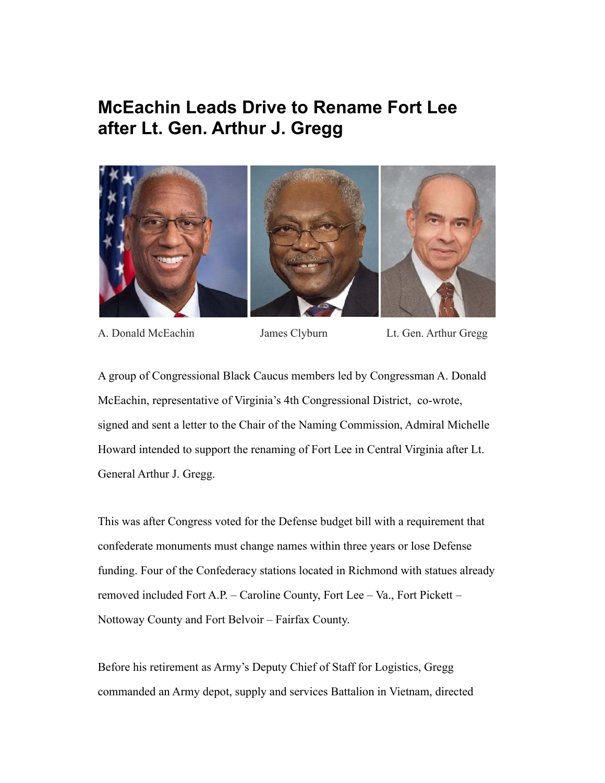## **McEachin Leads Drive to Rename Fort Lee after Lt. Gen. Arthur J. Gregg**



A. Donald McEachin James Clyburn Lt. Gen. Arthur Gregg

A group of Congressional Black Caucus members led by Congressman A. Donald McEachin, representative of Virginia's 4th Congressional District, co-wrote, signed and sent a letter to the Chair of the Naming Commission, Admiral Michelle Howard intended to support the renaming of Fort Lee in Central Virginia after Lt. General Arthur J. Gregg.

This was after Congress voted for the Defense budget bill with a requirement that confederate monuments must change names within three years or lose Defense funding. Four of the Confederacy stations located in Richmond with statues already removed included Fort A.P. – Caroline County, Fort Lee – Va., Fort Pickett – Nottoway County and Fort Belvoir – Fairfax County.

Before his retirement as Army's Deputy Chief of Staff for Logistics, Gregg commanded an Army depot, supply and services Battalion in Vietnam, directed